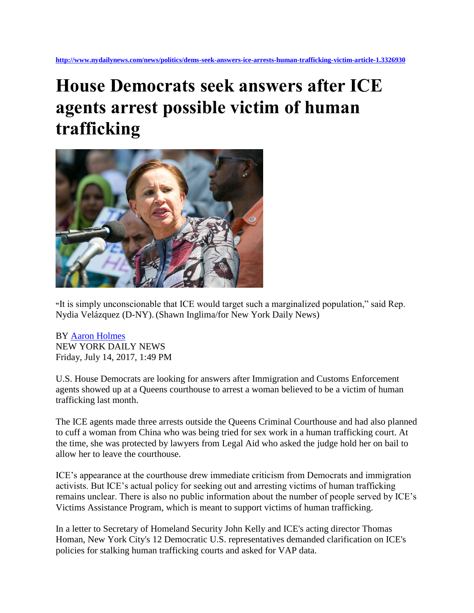## **House Democrats seek answers after ICE agents arrest possible victim of human trafficking**



**"**It is simply unconscionable that ICE would target such a marginalized population," said Rep. Nydia Velázquez (D-NY). (Shawn Inglima/for New York Daily News)

BY [Aaron Holmes](http://www.nydailynews.com/authors?author=Aaron-Holmes) NEW YORK DAILY NEWS Friday, July 14, 2017, 1:49 PM

U.S. House Democrats are looking for answers after Immigration and Customs Enforcement agents showed up at a Queens courthouse to arrest a woman believed to be a victim of human trafficking last month.

The ICE agents made three arrests outside the Queens Criminal Courthouse and had also planned to cuff a woman from China who was being tried for sex work in a human trafficking court. At the time, she was protected by lawyers from Legal Aid who asked the judge hold her on bail to allow her to leave the courthouse.

ICE's appearance at the courthouse drew immediate criticism from Democrats and immigration activists. But ICE's actual policy for seeking out and arresting victims of human trafficking remains unclear. There is also no public information about the number of people served by ICE's Victims Assistance Program, which is meant to support victims of human trafficking.

In a letter to Secretary of Homeland Security John Kelly and ICE's acting director Thomas Homan, New York City's 12 Democratic U.S. representatives demanded clarification on ICE's policies for stalking human trafficking courts and asked for VAP data.